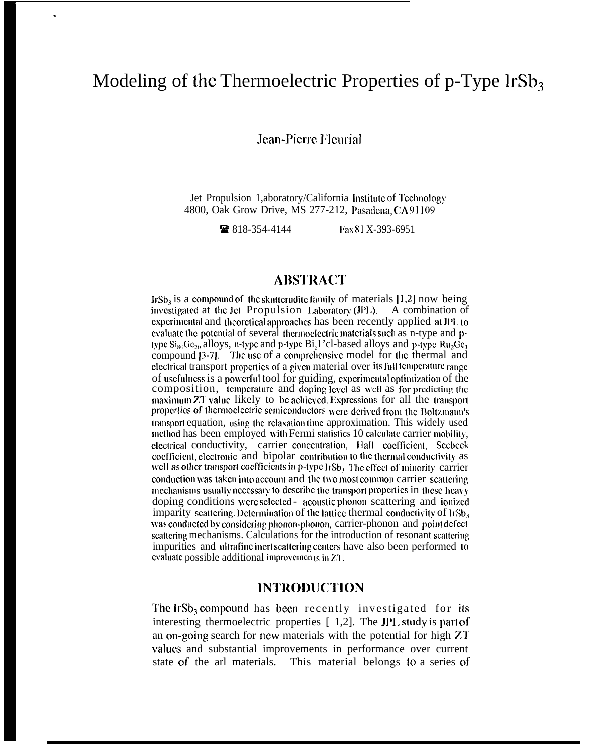# Modeling of the Thermoelectric Properties of  $p$ -Type IrSb<sub>3</sub>

Jean-Pierre Fleurial

Jet Propulsion 1, aboratory/California Institute of Technology 4800, Oak Grow Drive, MS 277-212, Pasadena, CA 91109

> ■ 818-354-4144 Fax 81 X-393-6951

#### **ABSTRACT**

Ir $Sb<sub>3</sub>$  is a compound of the skutter udite family of materials [1,2] now being investigated at the Jet Propulsion Laboratory (JPL). A combination of experimental and theoretical approaches has been recently applied at JPL to evaluate the potential of several thermoelectric materials such as n-type and ptype  $\text{Si}_{80}\text{Ge}_{20}$  alloys, n-type and p-type Bi, 1'cl-based alloys and p-type Ru<sub>2</sub>Ge<sub>3</sub> compound [3-7]. The use of a comprehensive model for the thermal and electrical transport properties of a given material over its full temperature range of usefulness is a powerful tool for guiding, experimental optimization of the composition, temperature and doping level as well as for predicting the maximum ZT value likely to be achieved. Expressions for all the transport properties of thermoelectric semiconductors were derived from the Boltzmann's transport equation, using the relaxation time approximation. This widely used method has been employed with Fermi statistics 10 calculate carrier mobility, electrical conductivity, carrier concentration, Hall coefficient, Seebeck coefficient, electronic and bipolar contribution to the thermal conductivity as well as other transport coefficients in p-type IrSb<sub>3</sub>. The effect of minority carrier conduction was taken into account and the two most common carrier scattering mechanisms usually necessary to describe the transport properties in these heavy doping conditions were selected - acoustic phonon scattering and ionized imparity scattering. Determination of the lattice thermal conductivity of IrSb, was conducted by considering phonon-phonon, carrier-phonon and point defect scattering mechanisms. Calculations for the introduction of resonant scattering impurities and ultrafine inert scattering centers have also been performed to evaluate possible additional improvements in ZT.

#### **INTRODUCTION**

The IrSb<sub>3</sub> compound has been recently investigated for its interesting thermoelectric properties [1,2]. The JPL study is part of an on-going search for new materials with the potential for high ZT values and substantial improvements in performance over current state of the arl materials. This material belongs to a series of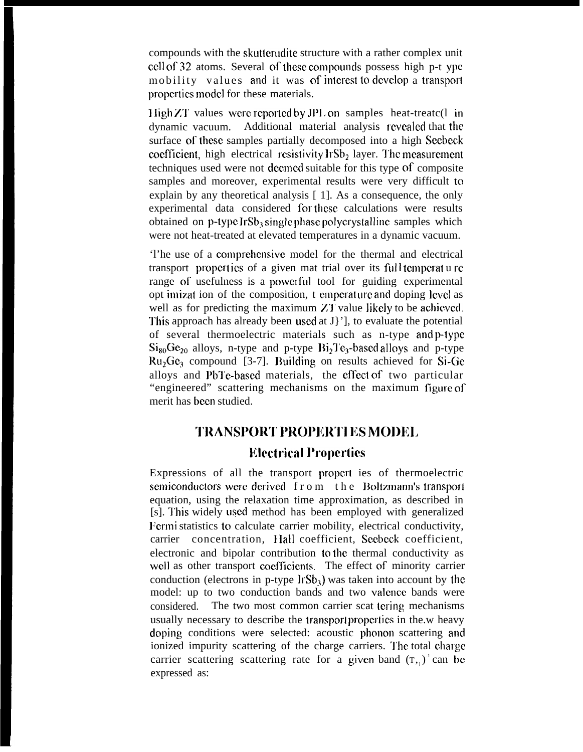compounds with the skutterudite structure with a rather complex unit cell of 32 atoms. Several of these compounds possess high p-t ypc mobility values and it was of interest to develop a transport properties model for these materials.

 $\text{High ZT}$  values were reported by JPL on samples heat-treatc(1 in dynamic vacuum. Additional material analysis revealed that the surface of these samples partially decomposed into a high Seebeck coefficient, high electrical resistivity  $\text{IrSb}_2$  layer. The measurement techniques used were not dccmcd suitable for this type of composite samples and moreover, experimental results were very difficult to explain by any theoretical analysis [ 1]. As a consequence, the only experimental data considered for these calculations were results obtained on  $p$ -type IrSb<sub>3</sub> single phase polycrystalline samples which were not heat-treated at elevated temperatures in a dynamic vacuum.

'l'he use of a comprchcnsivc model for the thermal and electrical transport properties of a given mat trial over its full temperat u re range of usefulness is a powerful tool for guiding experimental opt imizat ion of the composition, t emperature and doping level as well as for predicting the maximum ZT value likely to be achieved. This approach has already been used at  $J$ '], to evaluate the potential of several thermoelectric materials such as n-type and p-type  $Si_{80}Ge_{20}$  alloys, n-type and p-type  $Bi_2Te_3$ -based alloys and p-type  $Ru<sub>2</sub>Ge<sub>3</sub>$  compound [3-7]. Building on results achieved for Si-Ge alloys and PbTe-based materials, the effect of two particular "engineered" scattering mechanisms on the maximum figure of merit has been studied.

# $TRANSPORT$ <sup> $PROPERTIES$  **MODEL**

## **Electrical Properties**

Expressions of all the transport propcrt ies of thermoelectric semiconductors were derived from the Boltzmann's transport equation, using the relaxation time approximation, as described in [s]. I'his widely used method has been employed with generalized l'ermi statistics to calculate carrier mobility, electrical conductivity, carrier concentration, Hall coefficient, Seebeck coefficient, electronic and bipolar contribution to the thermal conductivity as well as other transport coefficients. The effect of minority carrier conduction (electrons in p-type  $\text{lrSb}_3$ ) was taken into account by the model: up to two conduction bands and two valcncc bands were considered. The two most common carrier scat tering mechanisms usually necessary to describe the transport properties in the.w heavy doping conditions were selected: acoustic phonon scattering and ionized impurity scattering of the charge carriers. The total charge carrier scattering scattering rate for a given band  $(T, y)^{-1}$  can be expressed as: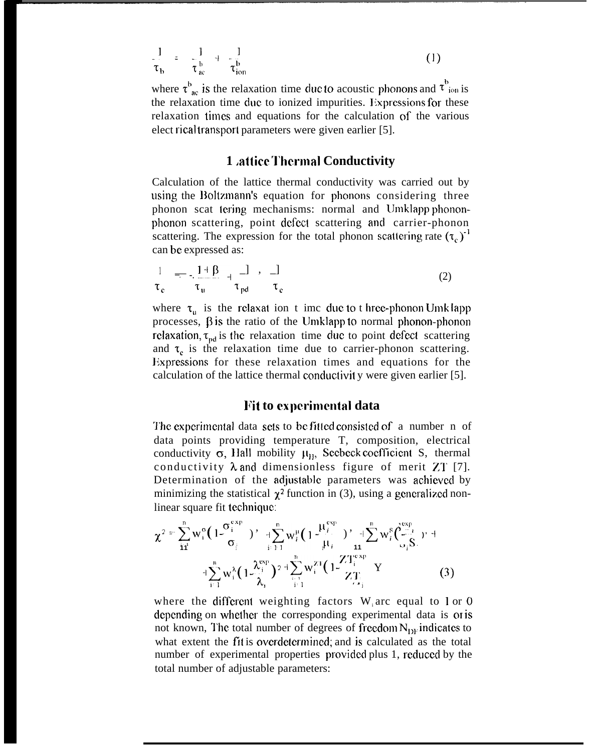$$
\frac{1}{\tau_b} = \frac{1}{\tau_{ac}^b} + \frac{1}{\tau_{ion}^b}
$$
 (1)

where  $\tau_{ac}^{b}$  is the relaxation time due to acoustic phonons and  $\tau_{ion}^{b}$  is the relaxation time due to ionized impurities. Expressions for these relaxation times and equations for the calculation of the various elect rical transporl parameters were given earlier [5].

#### **1** *attice* **Thermal Conductivity**

Calculation of the lattice thermal conductivity was carried out by using the Boltzmann's equation for phonons considering three phonon scat tering mechanisms: normal and Umklapp phononphonon scattering, point defect scattering and carrier-phonon scattering. The expression for the total phonon scattering rate  $(\tau_c)^{-1}$ can be expressed as:

$$
\frac{1}{\tau_c} = -\frac{1+\beta}{\tau_u} + \frac{1}{\tau_{pd}} \qquad \frac{1}{\tau_c}
$$
 (2)

where  $\tau_{\rm u}$  is the relaxat ion t imc due to t hree-phonon Umk lapp processes,  $\beta$  is the ratio of the Umklapp to normal phonon-phonon relaxation,  $\tau_{pd}$  is the relaxation time due to point defect scattering and  $\tau_e$  is the relaxation time due to carrier-phonon scattering. Expressions for these relaxation times and equations for the calculation of the lattice thermal conductivit y were given earlier [5].

#### **Fit to experimental data**

The experimental data sets to be fitted consisted of a number n of data points providing temperature T, composition, electrical conductivity  $\sigma$ , Hall mobility  $\mu_{\rm B}$ , Seebeck coefficient S, thermal conductivity  $\lambda$  and dimensionless figure of merit ZT [7]. Determination of the adjustable parameters was achieved by minimizing the statistical  $\chi^2$  function in (3), using a generalized nonlinear square fit technique:

$$
\chi^{2} = \sum_{i1}^{n} w_{i}^{\circ} (1 - \frac{\sigma_{i}^{exp}}{\sigma_{i}^{exp}})^{\gamma} + \sum_{i=1}^{n} w_{i}^{\mu} (1 - \frac{\mu_{i}^{exp}}{\mu_{i}^{exp}})^{\gamma} + \sum_{i=1}^{n} w_{i}^{g} (\frac{\sum_{i=1}^{exp}}{\sigma_{i}^{g}})^{\gamma} + \frac{\sum_{i=1}^{n} w_{i}^{\lambda} (1 - \frac{\lambda_{i}^{exp}}{\lambda_{i}^{exp}})^{2}}{\lambda_{i}^{exp}})^{2} + \sum_{i=1}^{n} w_{i}^{\lambda} (1 - \frac{\lambda_{i}^{exp}}{\lambda_{i}^{exp}})^{2} + \sum_{i=1}^{n} w_{i}^{\lambda} (1 - \frac{\lambda_{i}^{exp}}{\lambda_{i}^{exp}})^{2}
$$
(3)

where the different weighting factors  $W_i$  arc equal to 1 or 0 depending on whether the corresponding experimental data is or is not known, The total number of degrees of freedom  $N_{\text{DE}}$  indicates to what extent the fit is overdetermined; and is calculated as the total number of experimental properties provided plus 1, reduced by the total number of adjustable parameters: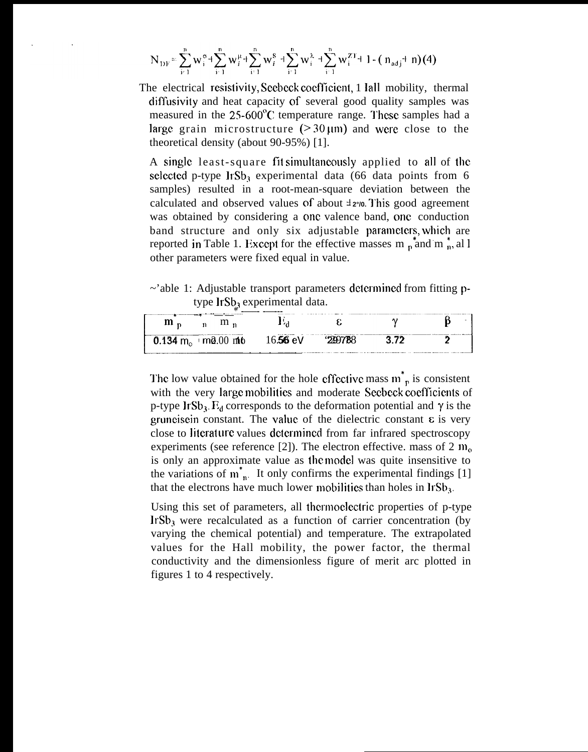$$
N_{\mathrm{DF}} = \sum_{i=1}^{n} w_i^{\sigma} + \sum_{i=1}^{n} w_i^{\mu} + \sum_{i=1}^{n} w_i^{\delta} + \sum_{i=1}^{n} w_i^{\lambda} + \sum_{i=1}^{n} w_i^{ZT} + 1 - (n_{\mathrm{adj}} + n)(4)
$$

The electrical resistivity, Seebeck coefficient, 1 Iall mobility, thermal diffusivity and heat capacity of several good quality samples was measured in the 25-600°C temperature range. These samples had a large grain microstructure  $(230 \mu m)$  and were close to the theoretical density (about 90-95%) [1].

A single least-square fit simultaneously applied to all of the selected p-type Ir $Sb_3$  experimental data (66 data points from 6 samples) resulted in a root-mean-square deviation between the calculated and observed values of about  $\pm 2\%$ . This good agreement was obtained by considering a one valence band, one conduction band structure and only six adjustable parameters, which are reported in Table 1. Except for the effective masses  $m_p$  and  $m_p$ , al l other parameters were fixed equal in value.

 $\sim$ 'able 1: Adjustable transport parameters determined from fitting ptype IrSb<sub>3</sub> experimental data.

| $m_{\rm n}$<br>$\mathbf{m}_n$                          |  |      |  |
|--------------------------------------------------------|--|------|--|
| $\frac{1}{2}$ 0.134 m <sub>o</sub> ma.00 mlto 16.56 eV |  | - 77 |  |

The low value obtained for the hole effective mass  $m_n^*$  is consistent with the very large mobilities and moderate Seebeck coefficients of p-type IrSb<sub>3</sub>.  $E_d$  corresponds to the deformation potential and  $\gamma$  is the gruneisein constant. The value of the dielectric constant  $\varepsilon$  is very close to literature values determined from far infrared spectroscopy experiments (see reference [2]). The electron effective. mass of 2  $m<sub>o</sub>$ is only an approximate value as the model was quite insensitive to the variations of  $m_{n}^{*}$ . It only confirms the experimental findings [1] that the electrons have much lower mobilities than holes in  $IrSb<sub>3</sub>$ .

Using this set of parameters, all thermoelectric properties of p-type IrSb<sub>3</sub> were recalculated as a function of carrier concentration (by varying the chemical potential) and temperature. The extrapolated values for the Hall mobility, the power factor, the thermal conductivity and the dimensionless figure of merit arc plotted in figures 1 to 4 respectively.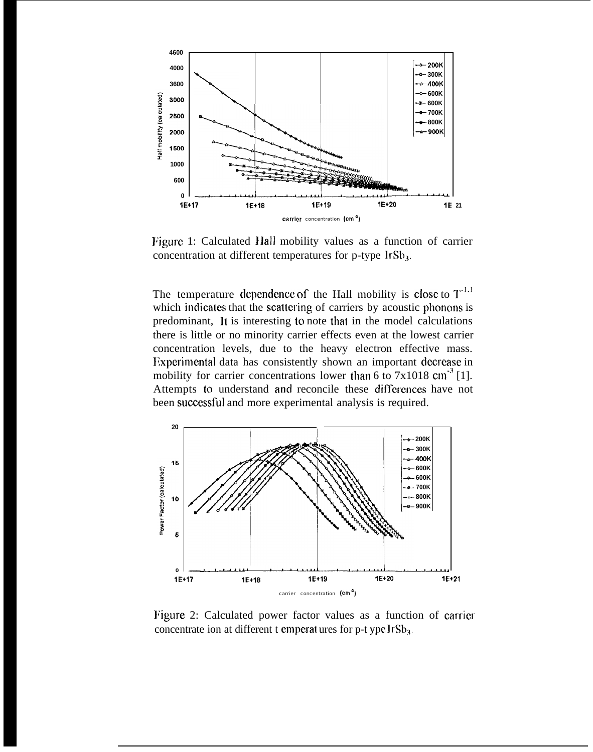

Figure 1: Calculated Hall mobility values as a function of carrier concentration at different temperatures for p-type IrSb<sub>3</sub>.

The temperature dependence of the Hall mobility is close to  $T^{1,1}$ which indicates that the scattering of carriers by acoustic phonons is predominant, It is interesting to note that in the model calculations there is little or no minority carrier effects even at the lowest carrier concentration levels, due to the heavy electron effective mass. Experimental data has consistently shown an important decrease in mobility for carrier concentrations lower than 6 to  $7x1018$  cm<sup>-3</sup> [1]. Attempts to understand and reconcile these differences have not been successful and more experimental analysis is required.



Figure 2: Calculated power factor values as a function of carrier concentrate ion at different t emperatures for p-t ype IrSb<sub>3</sub>.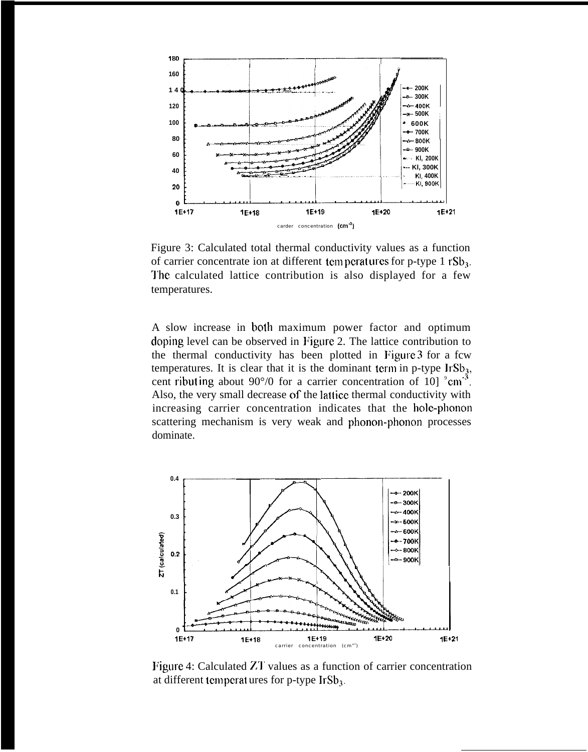

Figure 3: Calculated total thermal conductivity values as a function of carrier concentrate ion at different temperatures for p-type 1  $rSb_3$ . The calculated lattice contribution is also displayed for a few temperatures.

A slow increase in both maximum power factor and optimum doping level can be observed in Figure 2. The lattice contribution to the thermal conductivity has been plotted in F'igure 3 for a fcw temperatures. It is clear that it is the dominant term in p-type  $\text{IrSb}_3$ , cent ribut ing about  $90^{\circ}/0$  for a carrier concentration of 10]  $^{\circ}$ cm<sup>-3</sup>. Also, the very small decrease of the lattice thermal conductivity with increasing carrier concentration indicates that the hole-phonon scattering mechanism is very weak and phonon-phonon processes dominate.



Figure 4: Calculated ZT values as a function of carrier concentration at different temperat ures for p-type  $IrSb<sub>3</sub>$ .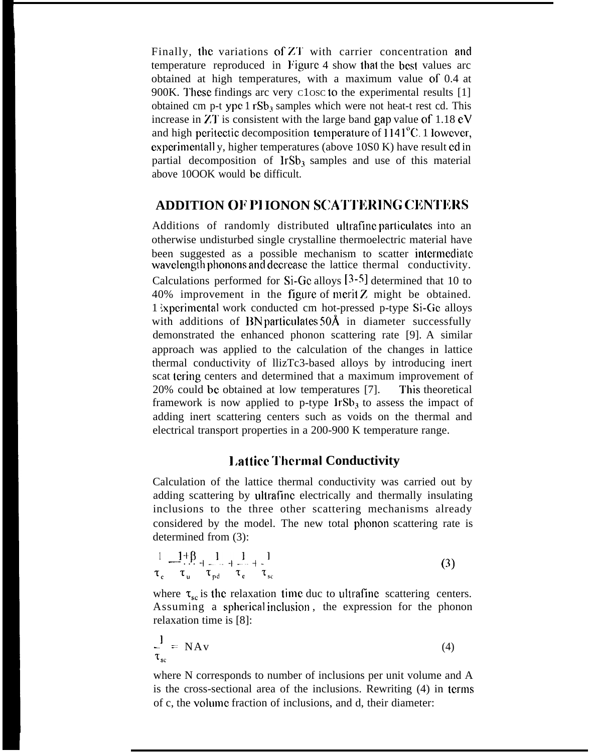Finally, the variations of ZT with carrier concentration and temperature reproduced in Figure 4 show that the best values arc obtained at high temperatures, with a maximum value of 0.4 at 900K. These findings arc very C1osc to the experimental results [1] obtained cm p-t ype  $1 rSb_3$  samples which were not heat-t rest cd. This increase in ZT is consistent with the large band gap value of  $1.18 \text{ eV}$ and high peritectic decomposition temperature of  $1141^{\circ}$ C. 1 lowever, experimentall y, higher temperatures (above  $10S0K$ ) have result ed in partial decomposition of  $l r S b_3$  samples and use of this material above 10OOK would be difficult.

#### **ADDITION 01~ 1'1 IONON SCAT'J'ICRING CltNTJCRS**

Additions of randomly distributed ultrafine particulates into an otherwise undisturbed single crystalline thermoelectric material have been suggested as a possible mechanism to scatter intermediate wavelength phonons and decrease the lattice thermal conductivity. Calculations performed for Si-Gc alloys [3-5] determined that 10 to  $40\%$  improvement in the figure of merit Z might be obtained. 1 lxpcrimental work conducted cm hot-pressed p-type Si-Gc alloys with additions of BN particulates  $50\text{\AA}$  in diameter successfully demonstrated the enhanced phonon scattering rate [9]. A similar approach was applied to the calculation of the changes in lattice thermal conductivity of llizTc3-based alloys by introducing inert scat tering centers and determined that a maximum improvement of 20% could be obtained at low temperatures [7]. This theoretical framework is now applied to p-type  $\text{IrSb}_3$  to assess the impact of adding inert scattering centers such as voids on the thermal and electrical transport properties in a 200-900 K temperature range.

### **IJatticc 'J'hcrma] Conductivity**

Calculation of the lattice thermal conductivity was carried out by adding scattering by ultrafinc electrically and thermally insulating inclusions to the three other scattering mechanisms already considered by the model. The new total phonon scattering rate is determined from (3):

$$
\frac{1}{\tau_{\rm c}} \frac{1+\beta}{\tau_{\rm u}} + \frac{1}{\tau_{\rm pd}} + \frac{1}{\tau_{\rm c}} + \frac{1}{\tau_{\rm sc}}
$$
 (3)

where  $\tau_{sc}$  is the relaxation time duc to ultrafine scattering centers. Assuming a spherical inclusion, the expression for the phonon relaxation time is [8]:

$$
\frac{1}{\tau_{sc}} = NAv
$$
 (4)

where N corresponds to number of inclusions per unit volume and A is the cross-sectional area of the inclusions. Rewriting (4) in terms of c, the volume fraction of inclusions, and d, their diameter: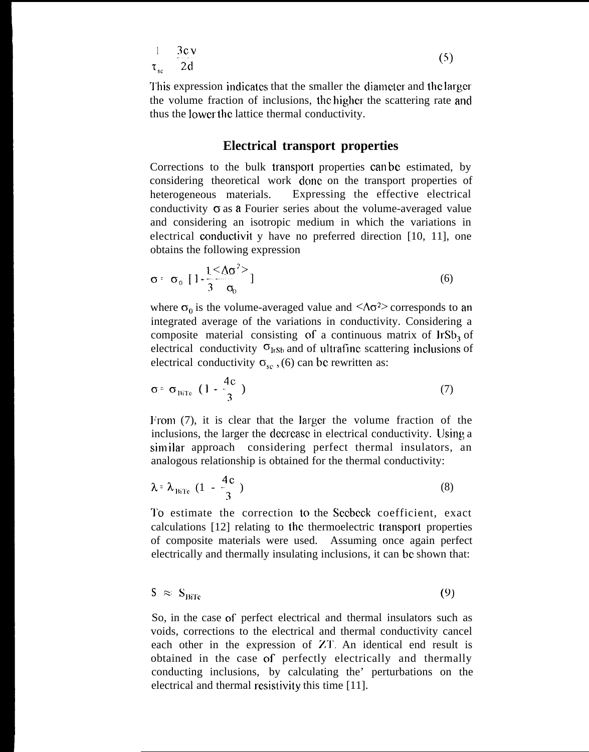$$
\frac{1}{\tau_{sc}} = \frac{3c \nu}{2d}
$$
 (5)

This expression indicates that the smaller the diameter and the larger the volume fraction of inclusions, Ihc higher the scattering rate and thus the lower the lattice thermal conductivity.

#### **Electrical transport properties**

Corrections to the bulk transport properties can be estimated, by considering theoretical work done on the transport properties of heterogeneous materials. Expressing the effective electrical conductivity  $\sigma$  as a Fourier series about the volume-averaged value and considering an isotropic medium in which the variations in electrical conductivit y have no preferred direction  $[10, 11]$ , one obtains the following expression

$$
\sigma = \sigma_0 \left[ 1 - \frac{1}{3} \frac{(\Delta \sigma^2)}{\sigma_0} \right] \tag{6}
$$

where  $\sigma_0$  is the volume-averaged value and  $\langle \Delta \sigma^2 \rangle$  corresponds to an integrated average of the variations in conductivity. Considering a composite material consisting of a continuous matrix of  $\text{IrSb}_3$  of electrical conductivity  $\sigma_{\text{lrsb}}$  and of ultrafine scattering inclusions of electrical conductivity  $\sigma_{sc}$ , (6) can be rewritten as:

$$
\sigma = \sigma_{\text{BITe}} \left( 1 - \frac{4c}{3} \right) \tag{7}
$$

From (7), it is clear that the larger the volume fraction of the inclusions, the larger the decrcasc in electrical conductivity. Using a similar approach considering perfect thermal insulators, an analogous relationship is obtained for the thermal conductivity:

$$
\lambda = \lambda_{\text{BTE}} \left( 1 - \frac{4c}{3} \right) \tag{8}
$$

To estimate the correction to the Seebeck coefficient, exact calculations [12] relating to the thermoelectric transporl properties of composite materials were used. Assuming once again perfect electrically and thermally insulating inclusions, it can be shown that:

$$
S \approx S_{\text{Bire}} \tag{9}
$$

So, in the case of perfect electrical and thermal insulators such as voids, corrections to the electrical and thermal conductivity cancel each other in the expression of ZT. An identical end result is obtained in the case of perfectly electrically and thermally conducting inclusions, by calculating the' perturbations on the electrical and thermal resistivity this time [11].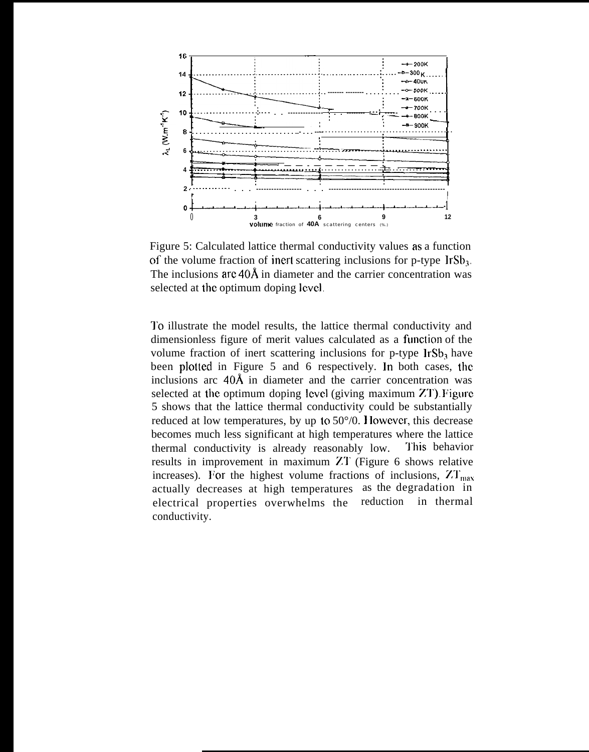

Figure 5: Calculated lattice thermal conductivity values as a function of the volume fraction of inert scattering inclusions for p-type  $\text{IrSb}_3$ . The inclusions  $\text{arc }40\text{\AA}$  in diameter and the carrier concentration was selected at the optimum doping level.

I'o illustrate the model results, the lattice thermal conductivity and dimensionless figure of merit values calculated as a function of the volume fraction of inert scattering inclusions for  $p$ -type  $\text{lrSb}_3$  have been plotted in Figure 5 and 6 respectively. In both cases, the inclusions arc  $40\text{\AA}$  in diameter and the carrier concentration was selected at the optimum doping level (giving maximum ZT). F'igure 5 shows that the lattice thermal conductivity could be substantially reduced at low temperatures, by up to 50°/0. 1 lowevcr, this decrease becomes much less significant at high temperatures where the lattice thermal conductivity is already reasonably low. This behavior results in improvement in maximum ZT (Figure 6 shows relative increases). For the highest volume fractions of inclusions,  $ZT_{\text{max}}$ actually decreases at high temperatures as the degradation in electrical properties overwhelms the conductivity. reduction in thermal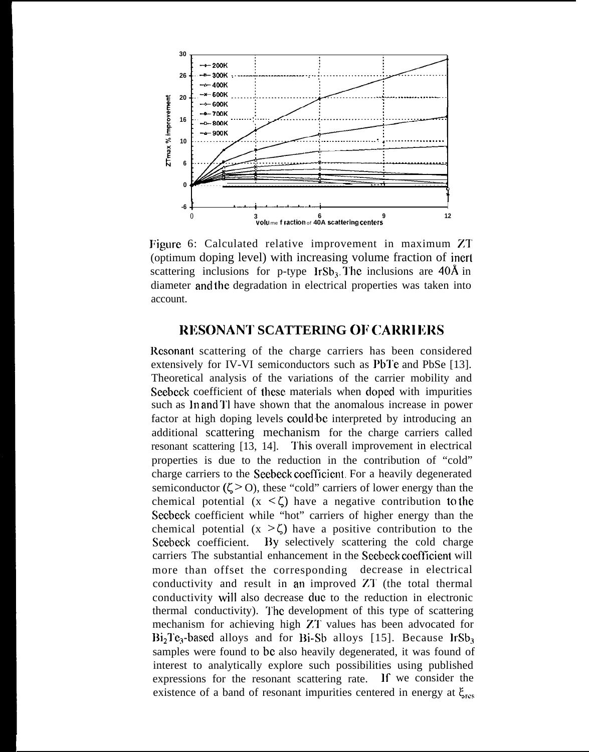

Figure 6: Calculated relative improvement in maximum ZT (optimum doping level) with increasing volume fraction of inert scattering inclusions for p-type  $IrSb<sub>3</sub>$ . The inclusions are 40Å in diameter and the degradation in electrical properties was taken into account

#### **RESONANT SCATTERING OF CARRIERS**

Resonant scattering of the charge carriers has been considered extensively for IV-VI semiconductors such as PbTe and PbSe [13]. Theoretical analysis of the variations of the carrier mobility and Seebeck coefficient of these materials when doped with impurities such as In and TI have shown that the anomalous increase in power factor at high doping levels could be interpreted by introducing an additional scattering mechanism for the charge carriers called resonant scattering [13, 14]. This overall improvement in electrical properties is due to the reduction in the contribution of "cold" charge carriers to the Seebeck coefficient. For a heavily degenerated semiconductor  $(\zeta > 0)$ , these "cold" carriers of lower energy than the chemical potential  $(x \le \zeta)$  have a negative contribution to the Seebeck coefficient while "hot" carriers of higher energy than the chemical potential  $(x \ge \zeta)$  have a positive contribution to the Seebeck coefficient. By selectively scattering the cold charge carriers The substantial enhancement in the Seebeck coefficient will more than offset the corresponding decrease in electrical conductivity and result in an improved ZT (the total thermal conductivity will also decrease due to the reduction in electronic thermal conductivity). The development of this type of scattering mechanism for achieving high ZT values has been advocated for  $Bi<sub>2</sub>Te<sub>3</sub>$ -based alloys and for Bi-Sb alloys [15]. Because  $IrSb<sub>3</sub>$ samples were found to be also heavily degenerated, it was found of interest to analytically explore such possibilities using published expressions for the resonant scattering rate. If we consider the existence of a band of resonant impurities centered in energy at  $\xi_{res}$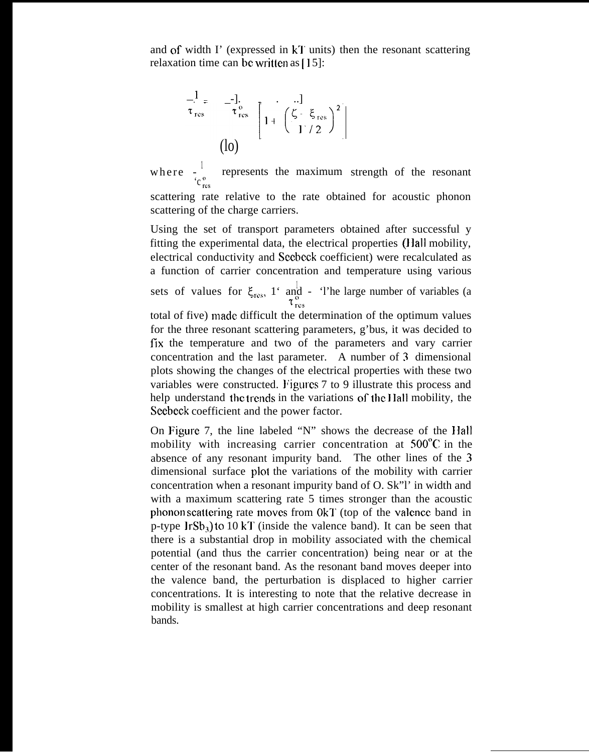and of width  $\Gamma$  (expressed in kT units) then the resonant scattering relaxation time can be written as  $[15]$ :

$$
\begin{bmatrix}\n1 \\
\vdots \\
\tau_{\text{res}}\n\end{bmatrix} \begin{bmatrix}\n-1 \\
\tau_{\text{res}} \\
\vdots \\
\tau_{\text{res}}\n\end{bmatrix} \begin{bmatrix}\n\cdot & \cdot \\
1 + \left(\frac{\zeta - \xi_{\text{res}}}{1/2}\right)^2 \\
1 + \left(\frac{\zeta_{\text{res}}}{1/2}\right)^2\n\end{bmatrix}
$$

Seebeck coefficient and the power factor.

where  $\frac{1}{2}$  represents the maximum  $c_{res}$ strength of the resonant scattering rate relative to the rate obtained for acoustic phonon scattering of the charge carriers.

Using the set of transport parameters obtained after successful y fitting the experimental data, the electrical properties (Jlall mobility, electrical conductivity and Secbcck coefficient) were recalculated as a function of carrier concentration and temperature using various sets of values for  $\xi_{\text{res}}$ , 1' and - 'l'he large number of variables (a  $\tau_{\scriptscriptstyle{rec}}$ total of five) made difficult the determination of the optimum values for the three resonant scattering parameters, g'bus, it was decided to fix the temperature and two of the parameters and vary carrier concentration and the last parameter. A number of 3 dimensional plots showing the changes of the electrical properties with these two variables were constructed. Figures 7 to 9 illustrate this process and help understand the trends in the variations of the Hall mobility, the

On **Figure** 7, the line labeled "N" shows the decrease of the Ilall mobility with increasing carrier concentration at 500°C in the absence of any resonant impurity band. The other lines of the 3 dimensional surface plot the variations of the mobility with carrier concentration when a resonant impurity band of O. Sk"l' in width and with a maximum scattering rate 5 times stronger than the acoustic phonon scattering rate moves from 0kT (top of the valence band in p-type  $\text{lrSb}_3$ ) to 10 kT (inside the valence band). It can be seen that there is a substantial drop in mobility associated with the chemical potential (and thus the carrier concentration) being near or at the center of the resonant band. As the resonant band moves deeper into the valence band, the perturbation is displaced to higher carrier concentrations. It is interesting to note that the relative decrease in mobility is smallest at high carrier concentrations and deep resonant bands.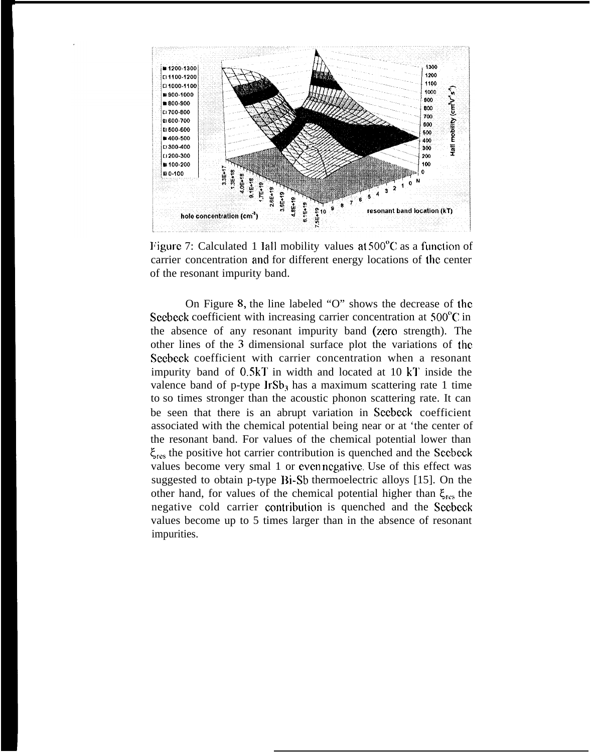

Figure 7: Calculated 1 Iall mobility values at  $500^{\circ}$ C as a function of carrier concentration and for different energy locations of the center of the resonant impurity band.

On Figure 8, the line labeled "O" shows the decrease of the Seebeck coefficient with increasing carrier concentration at  $500^{\circ}$ C in the absence of any resonant impurity band (zero strength). The other lines of the 3 dimensional surface plot the variations of the Seebeck coefficient with carrier concentration when a resonant impurity band of  $0.5kT$  in width and located at  $10 kT$  inside the valence band of p-type  $\text{IrSb}_3$  has a maximum scattering rate 1 time to so times stronger than the acoustic phonon scattering rate. It can be seen that there is an abrupt variation in Scebeck coefficient associated with the chemical potential being near or at 'the center of the resonant band. For values of the chemical potential lower than  $\xi_{\text{res}}$  the positive hot carrier contribution is quenched and the Secbeck values become very smal 1 or even negative. Use of this effect was suggested to obtain p-type Di-Sb thermoelectric alloys [15]. On the other hand, for values of the chemical potential higher than  $\xi_{\text{res}}$  the negative cold carrier cmtribution is quenched and the Secbcck values become up to 5 times larger than in the absence of resonant impurities.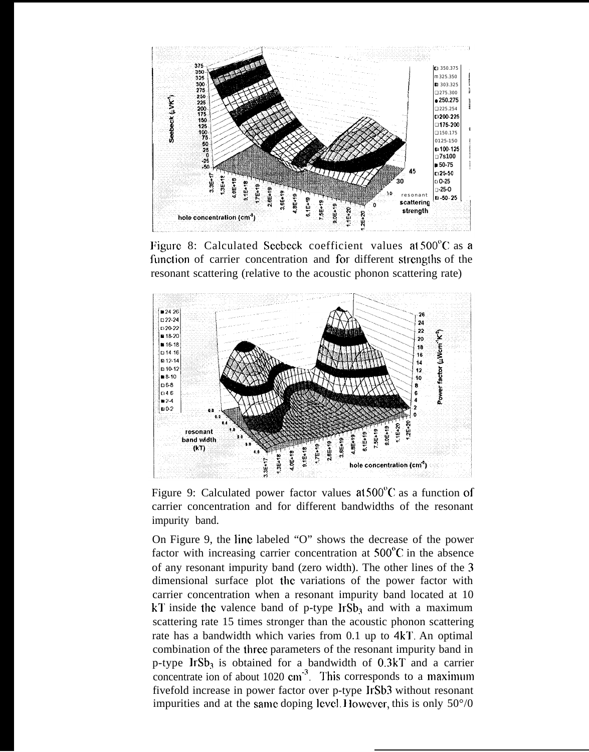

Figure 8: Calculated Seebeck coefficient values at 500<sup>°</sup>C as a function of carrier concentration and for different strengths of the resonant scattering (relative to the acoustic phonon scattering rate)



Figure 9: Calculated power factor values at 500<sup>°</sup>C as a function of carrier concentration and for different bandwidths of the resonant impurity band.

On Figure 9, the line labeled "O" shows the decrease of the power factor with increasing carrier concentration at  $500^{\circ}$ C in the absence of any resonant impurity band (zero width). The other lines of the 3 dimensional surface plot the variations of the power factor with carrier concentration when a resonant impurity band located at 10 kT inside the valence band of p-type  $\text{IrSb}_3$  and with a maximum scattering rate 15 times stronger than the acoustic phonon scattering rate has a bandwidth which varies from  $0.1$  up to  $4kT$ . An optimal combination of the three parameters of the resonant impurity band in p-type Ir $Sb_3$  is obtained for a bandwidth of 0.3kT and a carrier concentrate ion of about 1020  $\text{cm}^{-3}$ . This corresponds to a maximum fivefold increase in power factor over p-type IrSb3 without resonant impurities and at the same doping level. However, this is only  $50^{\circ}/0$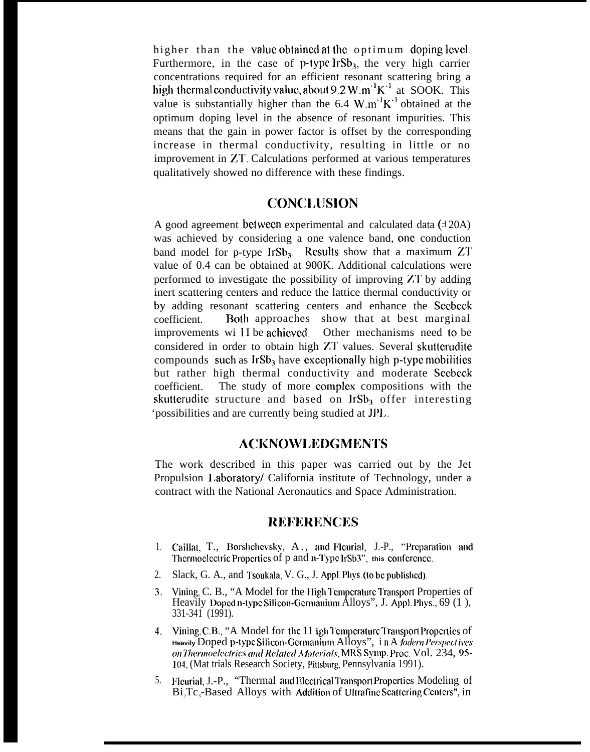higher than the value obtained at the optimum doping level. Furthermore, in the case of  $p$ -type lrSb<sub>3</sub>, the very high carrier concentrations required for an efficient resonant scattering bring a high thermal conductivity value, about 9.2 W.m<sup>-1</sup>K<sup>-1</sup> at SOOK. This value is substantially higher than the 6.4 W.m<sup>-1</sup>K<sup>-1</sup> obtained at the optimum doping level in the absence of resonant impurities. This means that the gain in power factor is offset by the corresponding increase in thermal conductivity, resulting in little or no improvement in ZT. Calculations performed at various temperatures qualitatively showed no difference with these findings.

# **CONC1.lJSION**

A good agreement between experimental and calculated data  $(120A)$ was achieved by considering a one valence band, one conduction band model for p-type lr $Sb_3$ . Results show that a maximum ZT value of 0.4 can be obtained at 900K. Additional calculations were performed to investigate the possibility of improving ZT by adding inert scattering centers and reduce the lattice thermal conductivity or by adding resonant scattering centers and enhance the Seebeck coefficient. Both approaches show that at best marginal improvements wi II be achieved. Other mechanisms need to be considered in order to obtain high ZT values. Several skutterudite compounds such as  $IrSb<sub>3</sub>$  have exceptionally high p-type mobilities but rather high thermal conductivity and moderate Seebeck coefficient. The study of more complex compositions with the skutterudite structure and based on  $IrSb<sub>3</sub>$  offer interesting 'possibilities and are currently being studied at JPI..

#### **ACKNOWLEDGMENTS**

The work described in this paper was carried out by the Jet Propulsion 1.aboratory/ California institute of Technology, under a contract with the National Aeronautics and Space Administration.

#### **REFERENCES**

- 1. Caillat, T., Borshchevsky, A., and Fleurial, J.-P., "Preparation and Thermoelectric Properties of p and n-Type IrSb3", this conference
- 2. Slack, G. A., and Tsoukala, V. G., J. Appl. Phys. (to be published).
- 3. Vining, C. B., "A Model for the High Temperature Transport Properties of Heavily Doped n-type Silicon-Germanium Alloys", J. Appl. Phys.,  $69$  (1), 331-341 (1991).
- 4. Vining, C.B., "A Model for the 11 igh Temperature Transport Properties of Heavily Doped p-type Silicon-Germanium Alloys", in A *fodern Perspectives m lher)))<)el~(:lri(:.v aid Relded* A4atcriols, MR\$ Symp. Proc. Vol. 234, 95- <sup>1</sup> (J4, (Mat trials Research Society, Pitlsburg, Pennsylvania 1991).
- 5. Fleurial, J.-P., "Thermal and Electrical Transport Properties Modeling of  $Bi<sub>2</sub>Te<sub>3</sub>$ -Based Alloys with Addition of Ultrafine Scattering Centers", in